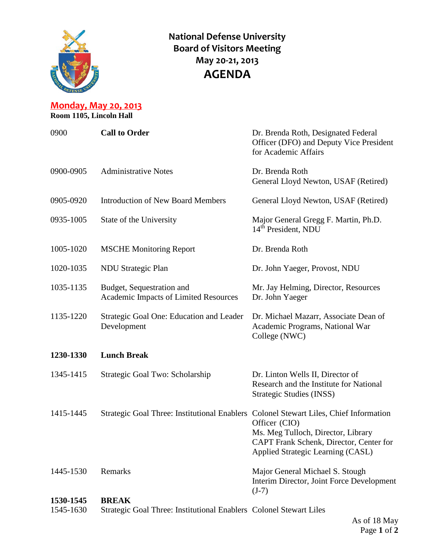

**National Defense University Board of Visitors Meeting May 20-21, 2013 AGENDA**

**Monday, May 20, 2013 Room 1105, Lincoln Hall**

| 0900      | <b>Call to Order</b>                                                                  | Dr. Brenda Roth, Designated Federal<br>Officer (DFO) and Deputy Vice President<br>for Academic Affairs                              |
|-----------|---------------------------------------------------------------------------------------|-------------------------------------------------------------------------------------------------------------------------------------|
| 0900-0905 | <b>Administrative Notes</b>                                                           | Dr. Brenda Roth<br>General Lloyd Newton, USAF (Retired)                                                                             |
| 0905-0920 | <b>Introduction of New Board Members</b>                                              | General Lloyd Newton, USAF (Retired)                                                                                                |
| 0935-1005 | State of the University                                                               | Major General Gregg F. Martin, Ph.D.<br>14 <sup>th</sup> President, NDU                                                             |
| 1005-1020 | <b>MSCHE Monitoring Report</b>                                                        | Dr. Brenda Roth                                                                                                                     |
| 1020-1035 | <b>NDU Strategic Plan</b>                                                             | Dr. John Yaeger, Provost, NDU                                                                                                       |
| 1035-1135 | Budget, Sequestration and<br>Academic Impacts of Limited Resources                    | Mr. Jay Helming, Director, Resources<br>Dr. John Yaeger                                                                             |
| 1135-1220 | Strategic Goal One: Education and Leader<br>Development                               | Dr. Michael Mazarr, Associate Dean of<br>Academic Programs, National War<br>College (NWC)                                           |
| 1230-1330 | <b>Lunch Break</b>                                                                    |                                                                                                                                     |
| 1345-1415 | Strategic Goal Two: Scholarship                                                       | Dr. Linton Wells II, Director of<br>Research and the Institute for National<br>Strategic Studies (INSS)                             |
| 1415-1445 | Strategic Goal Three: Institutional Enablers Colonel Stewart Liles, Chief Information | Officer (CIO)<br>Ms. Meg Tulloch, Director, Library<br>CAPT Frank Schenk, Director, Center for<br>Applied Strategic Learning (CASL) |
| 1445-1530 | Remarks                                                                               | Major General Michael S. Stough<br>Interim Director, Joint Force Development<br>$(J-7)$                                             |
| 1530-1545 | <b>BREAK</b>                                                                          |                                                                                                                                     |

1545-1630 Strategic Goal Three: Institutional Enablers Colonel Stewart Liles